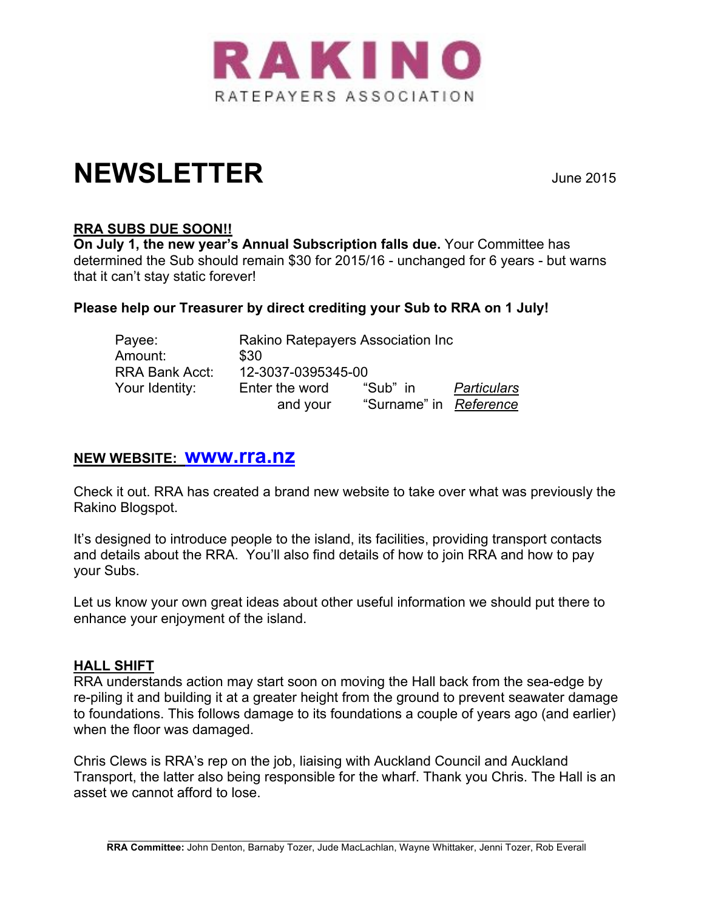

# **NEWSLETTER** June 2015

# **RRA SUBS DUE SOON!!**

**On July 1, the new year's Annual Subscription falls due.** Your Committee has determined the Sub should remain \$30 for 2015/16 - unchanged for 6 years - but warns that it can't stay static forever!

## **Please help our Treasurer by direct crediting your Sub to RRA on 1 July!**

| Payee:                | Rakino Ratepayers Association Inc |                        |             |
|-----------------------|-----------------------------------|------------------------|-------------|
| Amount:               | \$30                              |                        |             |
| <b>RRA Bank Acct:</b> | 12-3037-0395345-00                |                        |             |
| Your Identity:        | Enter the word                    | "Sub" in               | Particulars |
|                       | and your                          | "Surname" in Reference |             |

# **NEW WEBSITE: www.rra.nz**

Check it out. RRA has created a brand new website to take over what was previously the Rakino Blogspot.

It's designed to introduce people to the island, its facilities, providing transport contacts and details about the RRA. You'll also find details of how to join RRA and how to pay your Subs.

Let us know your own great ideas about other useful information we should put there to enhance your enjoyment of the island.

## **HALL SHIFT**

RRA understands action may start soon on moving the Hall back from the sea-edge by re-piling it and building it at a greater height from the ground to prevent seawater damage to foundations. This follows damage to its foundations a couple of years ago (and earlier) when the floor was damaged.

Chris Clews is RRA's rep on the job, liaising with Auckland Council and Auckland Transport, the latter also being responsible for the wharf. Thank you Chris. The Hall is an asset we cannot afford to lose.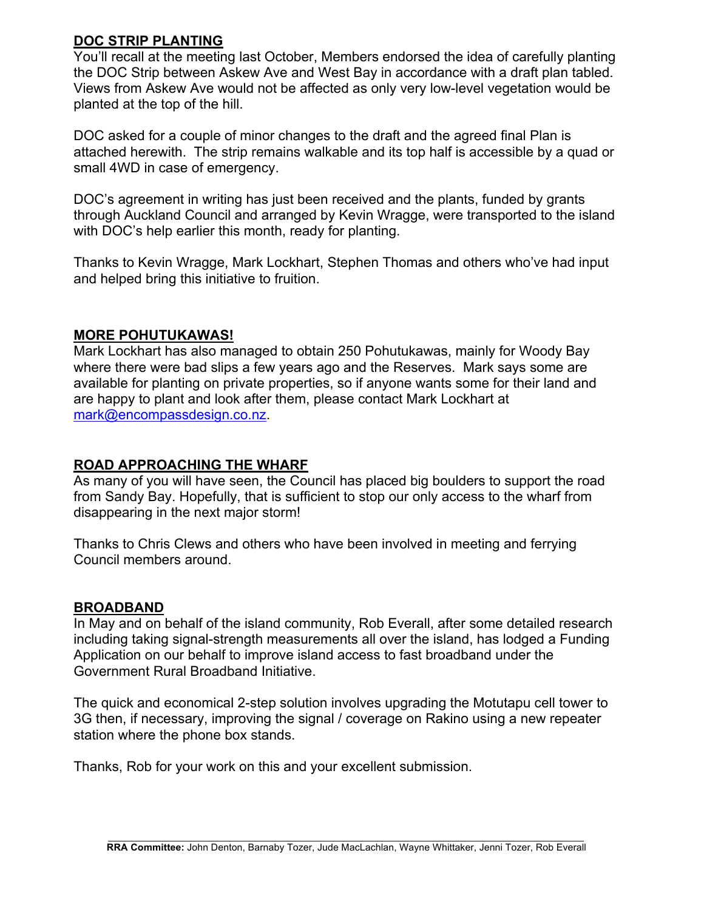## **DOC STRIP PLANTING**

You'll recall at the meeting last October, Members endorsed the idea of carefully planting the DOC Strip between Askew Ave and West Bay in accordance with a draft plan tabled. Views from Askew Ave would not be affected as only very low-level vegetation would be planted at the top of the hill.

DOC asked for a couple of minor changes to the draft and the agreed final Plan is attached herewith. The strip remains walkable and its top half is accessible by a quad or small 4WD in case of emergency.

DOC's agreement in writing has just been received and the plants, funded by grants through Auckland Council and arranged by Kevin Wragge, were transported to the island with DOC's help earlier this month, ready for planting.

Thanks to Kevin Wragge, Mark Lockhart, Stephen Thomas and others who've had input and helped bring this initiative to fruition.

## **MORE POHUTUKAWAS!**

Mark Lockhart has also managed to obtain 250 Pohutukawas, mainly for Woody Bay where there were bad slips a few years ago and the Reserves. Mark says some are available for planting on private properties, so if anyone wants some for their land and are happy to plant and look after them, please contact Mark Lockhart at mark@encompassdesign.co.nz.

## **ROAD APPROACHING THE WHARF**

As many of you will have seen, the Council has placed big boulders to support the road from Sandy Bay. Hopefully, that is sufficient to stop our only access to the wharf from disappearing in the next major storm!

Thanks to Chris Clews and others who have been involved in meeting and ferrying Council members around.

#### **BROADBAND**

In May and on behalf of the island community, Rob Everall, after some detailed research including taking signal-strength measurements all over the island, has lodged a Funding Application on our behalf to improve island access to fast broadband under the Government Rural Broadband Initiative.

The quick and economical 2-step solution involves upgrading the Motutapu cell tower to 3G then, if necessary, improving the signal / coverage on Rakino using a new repeater station where the phone box stands.

Thanks, Rob for your work on this and your excellent submission.